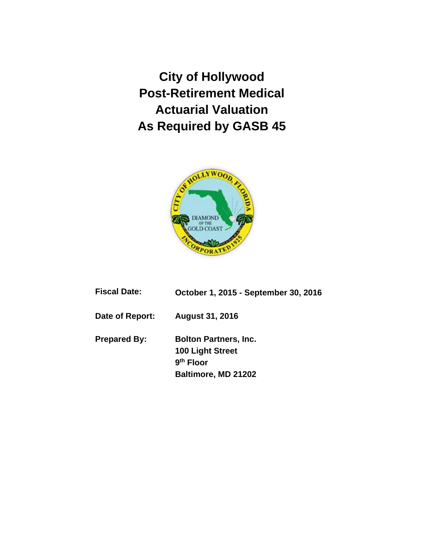**City of Hollywood Post-Retirement Medical Actuarial Valuation As Required by GASB 45**



| Fiscal Date: | October 1, 2015 - September 30, 2016 |
|--------------|--------------------------------------|
|--------------|--------------------------------------|

**Date of Report: August 31, 2016**

**Prepared By: Bolton Partners, Inc. 100 Light Street 9 th Floor Baltimore, MD 21202**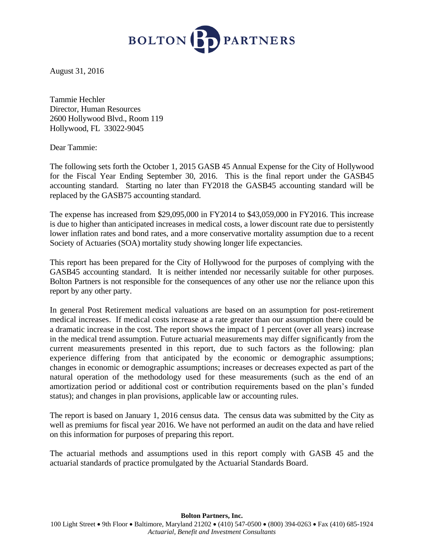

August 31, 2016

Tammie Hechler Director, Human Resources 2600 Hollywood Blvd., Room 119 Hollywood, FL 33022-9045

Dear Tammie:

The following sets forth the October 1, 2015 GASB 45 Annual Expense for the City of Hollywood for the Fiscal Year Ending September 30, 2016. This is the final report under the GASB45 accounting standard. Starting no later than FY2018 the GASB45 accounting standard will be replaced by the GASB75 accounting standard.

The expense has increased from \$29,095,000 in FY2014 to \$43,059,000 in FY2016. This increase is due to higher than anticipated increases in medical costs, a lower discount rate due to persistently lower inflation rates and bond rates, and a more conservative mortality assumption due to a recent Society of Actuaries (SOA) mortality study showing longer life expectancies.

This report has been prepared for the City of Hollywood for the purposes of complying with the GASB45 accounting standard. It is neither intended nor necessarily suitable for other purposes. Bolton Partners is not responsible for the consequences of any other use nor the reliance upon this report by any other party.

In general Post Retirement medical valuations are based on an assumption for post-retirement medical increases. If medical costs increase at a rate greater than our assumption there could be a dramatic increase in the cost. The report shows the impact of 1 percent (over all years) increase in the medical trend assumption. Future actuarial measurements may differ significantly from the current measurements presented in this report, due to such factors as the following: plan experience differing from that anticipated by the economic or demographic assumptions; changes in economic or demographic assumptions; increases or decreases expected as part of the natural operation of the methodology used for these measurements (such as the end of an amortization period or additional cost or contribution requirements based on the plan's funded status); and changes in plan provisions, applicable law or accounting rules.

The report is based on January 1, 2016 census data. The census data was submitted by the City as well as premiums for fiscal year 2016. We have not performed an audit on the data and have relied on this information for purposes of preparing this report.

The actuarial methods and assumptions used in this report comply with GASB 45 and the actuarial standards of practice promulgated by the Actuarial Standards Board.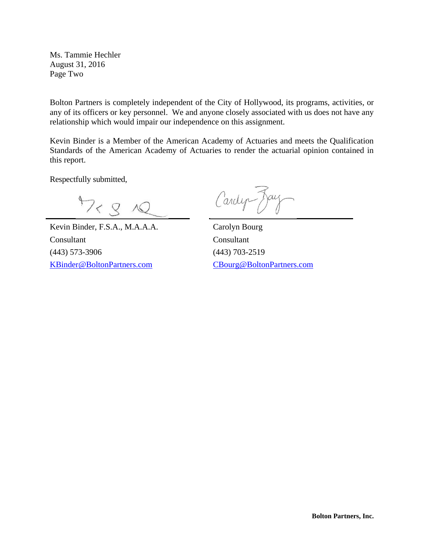Ms. Tammie Hechler August 31, 2016 Page Two

Bolton Partners is completely independent of the City of Hollywood, its programs, activities, or any of its officers or key personnel. We and anyone closely associated with us does not have any relationship which would impair our independence on this assignment.

Kevin Binder is a Member of the American Academy of Actuaries and meets the Qualification Standards of the American Academy of Actuaries to render the actuarial opinion contained in this report.

Respectfully submitted,

 $4728$ 

Kevin Binder, F.S.A., M.A.A.A. Carolyn Bourg Consultant Consultant (443) 573-3906 (443) 703-2519 [KBinder@BoltonPartners.com](mailto:KBinder@BoltonPartners.com) [CBourg@BoltonPartners.com](mailto:CBourg@BoltonPartners.com)

Cardyn Jay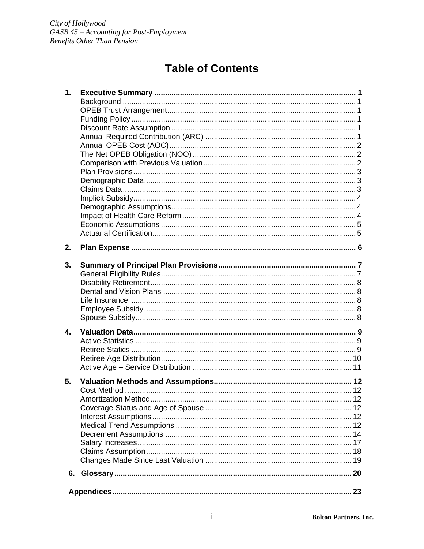# **Table of Contents**

| $\mathbf{1}$ . |  |
|----------------|--|
|                |  |
|                |  |
|                |  |
|                |  |
|                |  |
|                |  |
|                |  |
|                |  |
|                |  |
|                |  |
|                |  |
|                |  |
|                |  |
|                |  |
|                |  |
|                |  |
|                |  |
| 2.             |  |
|                |  |
| 3.             |  |
|                |  |
|                |  |
|                |  |
|                |  |
|                |  |
|                |  |
| $\mathbf{4}$ . |  |
|                |  |
|                |  |
|                |  |
|                |  |
|                |  |
| 5.             |  |
|                |  |
|                |  |
|                |  |
|                |  |
|                |  |
|                |  |
|                |  |
|                |  |
|                |  |
|                |  |
|                |  |
|                |  |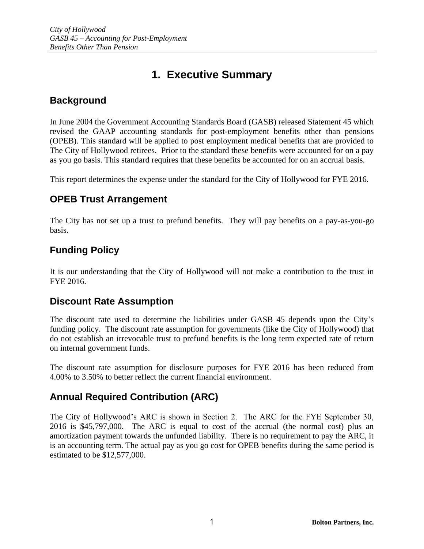# **1. Executive Summary**

## **Background**

In June 2004 the Government Accounting Standards Board (GASB) released Statement 45 which revised the GAAP accounting standards for post-employment benefits other than pensions (OPEB). This standard will be applied to post employment medical benefits that are provided to The City of Hollywood retirees. Prior to the standard these benefits were accounted for on a pay as you go basis. This standard requires that these benefits be accounted for on an accrual basis.

This report determines the expense under the standard for the City of Hollywood for FYE 2016.

### **OPEB Trust Arrangement**

The City has not set up a trust to prefund benefits. They will pay benefits on a pay-as-you-go basis.

## **Funding Policy**

It is our understanding that the City of Hollywood will not make a contribution to the trust in FYE 2016.

### **Discount Rate Assumption**

The discount rate used to determine the liabilities under GASB 45 depends upon the City's funding policy. The discount rate assumption for governments (like the City of Hollywood) that do not establish an irrevocable trust to prefund benefits is the long term expected rate of return on internal government funds.

The discount rate assumption for disclosure purposes for FYE 2016 has been reduced from 4.00% to 3.50% to better reflect the current financial environment.

## **Annual Required Contribution (ARC)**

The City of Hollywood's ARC is shown in Section 2. The ARC for the FYE September 30, 2016 is \$45,797,000. The ARC is equal to cost of the accrual (the normal cost) plus an amortization payment towards the unfunded liability. There is no requirement to pay the ARC, it is an accounting term. The actual pay as you go cost for OPEB benefits during the same period is estimated to be \$12,577,000.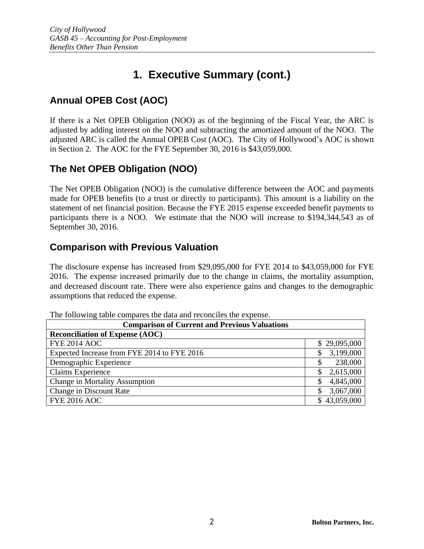# **Annual OPEB Cost (AOC)**

If there is a Net OPEB Obligation (NOO) as of the beginning of the Fiscal Year, the ARC is adjusted by adding interest on the NOO and subtracting the amortized amount of the NOO. The adjusted ARC is called the Annual OPEB Cost (AOC). The City of Hollywood's AOC is shown in Section 2. The AOC for the FYE September 30, 2016 is \$43,059,000.

## **The Net OPEB Obligation (NOO)**

The Net OPEB Obligation (NOO) is the cumulative difference between the AOC and payments made for OPEB benefits (to a trust or directly to participants). This amount is a liability on the statement of net financial position. Because the FYE 2015 expense exceeded benefit payments to participants there is a NOO. We estimate that the NOO will increase to \$194,344,543 as of September 30, 2016.

## **Comparison with Previous Valuation**

The disclosure expense has increased from \$29,095,000 for FYE 2014 to \$43,059,000 for FYE 2016. The expense increased primarily due to the change in claims, the mortality assumption, and decreased discount rate. There were also experience gains and changes to the demographic assumptions that reduced the expense.

| The following table compares the data and reconciles the expense. |                 |  |  |
|-------------------------------------------------------------------|-----------------|--|--|
| <b>Comparison of Current and Previous Valuations</b>              |                 |  |  |
| <b>Reconciliation of Expense (AOC)</b>                            |                 |  |  |
| <b>FYE 2014 AOC</b>                                               | \$29,095,000    |  |  |
| Expected Increase from FYE 2014 to FYE 2016                       | 3,199,000       |  |  |
| Demographic Experience                                            | 238,000         |  |  |
| Claims Experience                                                 | 2,615,000<br>\$ |  |  |
| <b>Change in Mortality Assumption</b>                             | 4,845,000<br>S  |  |  |
| Change in Discount Rate                                           | 3,067,000       |  |  |
| <b>FYE 2016 AOC</b>                                               | \$43,059,000    |  |  |

The following table compares the data and reconciles the expense.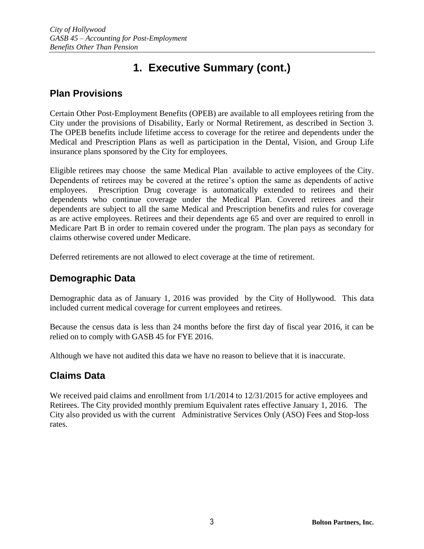## **Plan Provisions**

Certain Other Post-Employment Benefits (OPEB) are available to all employees retiring from the City under the provisions of Disability, Early or Normal Retirement, as described in Section 3. The OPEB benefits include lifetime access to coverage for the retiree and dependents under the Medical and Prescription Plans as well as participation in the Dental, Vision, and Group Life insurance plans sponsored by the City for employees.

Eligible retirees may choose the same Medical Plan available to active employees of the City. Dependents of retirees may be covered at the retiree's option the same as dependents of active employees. Prescription Drug coverage is automatically extended to retirees and their dependents who continue coverage under the Medical Plan. Covered retirees and their dependents are subject to all the same Medical and Prescription benefits and rules for coverage as are active employees. Retirees and their dependents age 65 and over are required to enroll in Medicare Part B in order to remain covered under the program. The plan pays as secondary for claims otherwise covered under Medicare.

Deferred retirements are not allowed to elect coverage at the time of retirement.

## **Demographic Data**

Demographic data as of January 1, 2016 was provided by the City of Hollywood. This data included current medical coverage for current employees and retirees.

Because the census data is less than 24 months before the first day of fiscal year 2016, it can be relied on to comply with GASB 45 for FYE 2016.

Although we have not audited this data we have no reason to believe that it is inaccurate.

## **Claims Data**

We received paid claims and enrollment from  $1/1/2014$  to  $12/31/2015$  for active employees and Retirees. The City provided monthly premium Equivalent rates effective January 1, 2016. The City also provided us with the current Administrative Services Only (ASO) Fees and Stop-loss rates.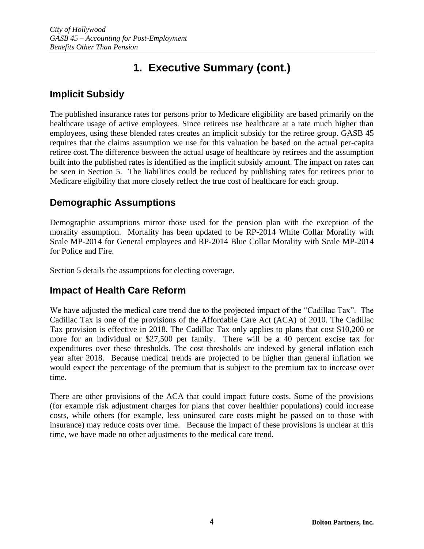## **Implicit Subsidy**

The published insurance rates for persons prior to Medicare eligibility are based primarily on the healthcare usage of active employees. Since retirees use healthcare at a rate much higher than employees, using these blended rates creates an implicit subsidy for the retiree group. GASB 45 requires that the claims assumption we use for this valuation be based on the actual per-capita retiree cost. The difference between the actual usage of healthcare by retirees and the assumption built into the published rates is identified as the implicit subsidy amount. The impact on rates can be seen in Section 5. The liabilities could be reduced by publishing rates for retirees prior to Medicare eligibility that more closely reflect the true cost of healthcare for each group.

## **Demographic Assumptions**

Demographic assumptions mirror those used for the pension plan with the exception of the morality assumption. Mortality has been updated to be RP-2014 White Collar Morality with Scale MP-2014 for General employees and RP-2014 Blue Collar Morality with Scale MP-2014 for Police and Fire.

Section 5 details the assumptions for electing coverage.

## **Impact of Health Care Reform**

We have adjusted the medical care trend due to the projected impact of the "Cadillac Tax". The Cadillac Tax is one of the provisions of the Affordable Care Act (ACA) of 2010. The Cadillac Tax provision is effective in 2018. The Cadillac Tax only applies to plans that cost \$10,200 or more for an individual or \$27,500 per family. There will be a 40 percent excise tax for expenditures over these thresholds. The cost thresholds are indexed by general inflation each year after 2018. Because medical trends are projected to be higher than general inflation we would expect the percentage of the premium that is subject to the premium tax to increase over time.

There are other provisions of the ACA that could impact future costs. Some of the provisions (for example risk adjustment charges for plans that cover healthier populations) could increase costs, while others (for example, less uninsured care costs might be passed on to those with insurance) may reduce costs over time. Because the impact of these provisions is unclear at this time, we have made no other adjustments to the medical care trend.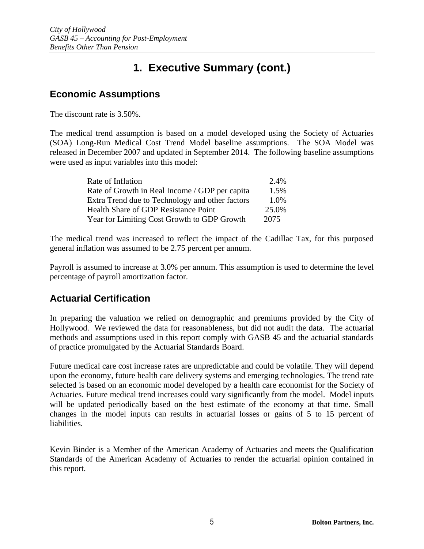## **Economic Assumptions**

The discount rate is 3.50%.

The medical trend assumption is based on a model developed using the Society of Actuaries (SOA) Long-Run Medical Cost Trend Model baseline assumptions. The SOA Model was released in December 2007 and updated in September 2014. The following baseline assumptions were used as input variables into this model:

| Rate of Inflation                               | 2.4%  |
|-------------------------------------------------|-------|
| Rate of Growth in Real Income / GDP per capita  | 1.5%  |
| Extra Trend due to Technology and other factors | 1.0%  |
| Health Share of GDP Resistance Point            | 25.0% |
| Year for Limiting Cost Growth to GDP Growth     | 2075  |

The medical trend was increased to reflect the impact of the Cadillac Tax, for this purposed general inflation was assumed to be 2.75 percent per annum.

Payroll is assumed to increase at 3.0% per annum. This assumption is used to determine the level percentage of payroll amortization factor.

## **Actuarial Certification**

In preparing the valuation we relied on demographic and premiums provided by the City of Hollywood. We reviewed the data for reasonableness, but did not audit the data. The actuarial methods and assumptions used in this report comply with GASB 45 and the actuarial standards of practice promulgated by the Actuarial Standards Board.

Future medical care cost increase rates are unpredictable and could be volatile. They will depend upon the economy, future health care delivery systems and emerging technologies. The trend rate selected is based on an economic model developed by a health care economist for the Society of Actuaries. Future medical trend increases could vary significantly from the model. Model inputs will be updated periodically based on the best estimate of the economy at that time. Small changes in the model inputs can results in actuarial losses or gains of 5 to 15 percent of liabilities.

Kevin Binder is a Member of the American Academy of Actuaries and meets the Qualification Standards of the American Academy of Actuaries to render the actuarial opinion contained in this report.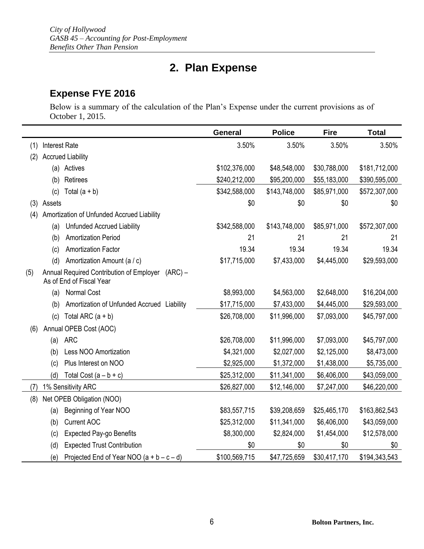# **2. Plan Expense**

## **Expense FYE 2016**

Below is a summary of the calculation of the Plan's Expense under the current provisions as of October 1, 2015.

|     |                      |                                                                                   | <b>General</b> | <b>Police</b> | <b>Fire</b>  | <b>Total</b>  |
|-----|----------------------|-----------------------------------------------------------------------------------|----------------|---------------|--------------|---------------|
| (1) | <b>Interest Rate</b> |                                                                                   | 3.50%          | 3.50%         | 3.50%        | 3.50%         |
| (2) |                      | <b>Accrued Liability</b>                                                          |                |               |              |               |
|     |                      | (a) Actives                                                                       | \$102,376,000  | \$48,548,000  | \$30,788,000 | \$181,712,000 |
|     | (b)                  | Retirees                                                                          | \$240,212,000  | \$95,200,000  | \$55,183,000 | \$390,595,000 |
|     | (c)                  | Total $(a + b)$                                                                   | \$342,588,000  | \$143,748,000 | \$85,971,000 | \$572,307,000 |
|     | (3) Assets           |                                                                                   | \$0            | \$0           | \$0          | \$0           |
| (4) |                      | Amortization of Unfunded Accrued Liability                                        |                |               |              |               |
|     | (a)                  | <b>Unfunded Accrued Liability</b>                                                 | \$342,588,000  | \$143,748,000 | \$85,971,000 | \$572,307,000 |
|     | (b)                  | <b>Amortization Period</b>                                                        | 21             | 21            | 21           | 21            |
|     | (c)                  | <b>Amortization Factor</b>                                                        | 19.34          | 19.34         | 19.34        | 19.34         |
|     | (d)                  | Amortization Amount (a / c)                                                       | \$17,715,000   | \$7,433,000   | \$4,445,000  | \$29,593,000  |
| (5) |                      | Annual Required Contribution of Employer<br>$(ARC) -$<br>As of End of Fiscal Year |                |               |              |               |
|     | (a)                  | Normal Cost                                                                       | \$8,993,000    | \$4,563,000   | \$2,648,000  | \$16,204,000  |
|     | (b)                  | Amortization of Unfunded Accrued Liability                                        | \$17,715,000   | \$7,433,000   | \$4,445,000  | \$29,593,000  |
|     | (c)                  | Total ARC $(a + b)$                                                               | \$26,708,000   | \$11,996,000  | \$7,093,000  | \$45,797,000  |
| (6) |                      | Annual OPEB Cost (AOC)                                                            |                |               |              |               |
|     | (a)                  | <b>ARC</b>                                                                        | \$26,708,000   | \$11,996,000  | \$7,093,000  | \$45,797,000  |
|     | (b)                  | Less NOO Amortization                                                             | \$4,321,000    | \$2,027,000   | \$2,125,000  | \$8,473,000   |
|     | (c)                  | Plus Interest on NOO                                                              | \$2,925,000    | \$1,372,000   | \$1,438,000  | \$5,735,000   |
|     | (d)                  | Total Cost $(a - b + c)$                                                          | \$25,312,000   | \$11,341,000  | \$6,406,000  | \$43,059,000  |
| (7) |                      | 1% Sensitivity ARC                                                                | \$26,827,000   | \$12,146,000  | \$7,247,000  | \$46,220,000  |
| (8) |                      | Net OPEB Obligation (NOO)                                                         |                |               |              |               |
|     | (a)                  | Beginning of Year NOO                                                             | \$83,557,715   | \$39,208,659  | \$25,465,170 | \$163,862,543 |
|     | (b)                  | <b>Current AOC</b>                                                                | \$25,312,000   | \$11,341,000  | \$6,406,000  | \$43,059,000  |
|     | (c)                  | <b>Expected Pay-go Benefits</b>                                                   | \$8,300,000    | \$2,824,000   | \$1,454,000  | \$12,578,000  |
|     | (d)                  | <b>Expected Trust Contribution</b>                                                | \$0            | \$0           | \$0          | \$0           |
|     | (e)                  | Projected End of Year NOO $(a + b - c - d)$                                       | \$100,569,715  | \$47,725,659  | \$30,417,170 | \$194,343,543 |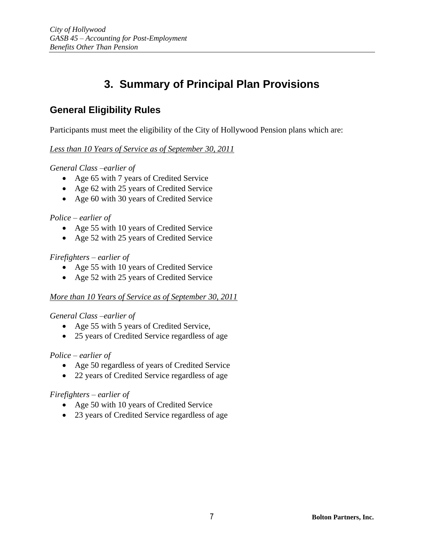# **3. Summary of Principal Plan Provisions**

## **General Eligibility Rules**

Participants must meet the eligibility of the City of Hollywood Pension plans which are:

### *Less than 10 Years of Service as of September 30, 2011*

*General Class –earlier of*

- Age 65 with 7 years of Credited Service
- Age 62 with 25 years of Credited Service
- Age 60 with 30 years of Credited Service

### *Police – earlier of*

- Age 55 with 10 years of Credited Service
- Age 52 with 25 years of Credited Service

### *Firefighters – earlier of*

- Age 55 with 10 years of Credited Service
- Age 52 with 25 years of Credited Service

### *More than 10 Years of Service as of September 30, 2011*

### *General Class –earlier of*

- Age 55 with 5 years of Credited Service,
- 25 years of Credited Service regardless of age

### *Police – earlier of*

- Age 50 regardless of years of Credited Service
- 22 years of Credited Service regardless of age

### *Firefighters – earlier of*

- Age 50 with 10 years of Credited Service
- 23 years of Credited Service regardless of age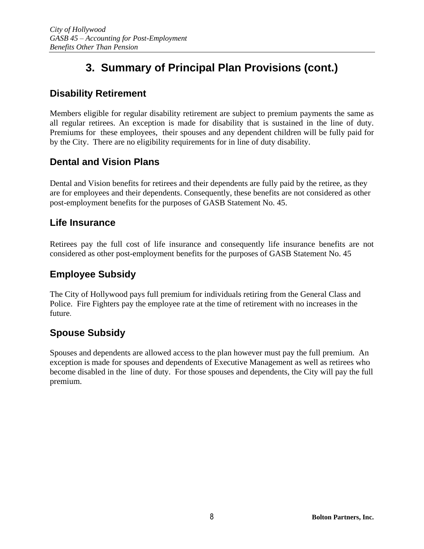# **3. Summary of Principal Plan Provisions (cont.)**

## **Disability Retirement**

Members eligible for regular disability retirement are subject to premium payments the same as all regular retirees. An exception is made for disability that is sustained in the line of duty. Premiums for these employees, their spouses and any dependent children will be fully paid for by the City. There are no eligibility requirements for in line of duty disability.

### **Dental and Vision Plans**

Dental and Vision benefits for retirees and their dependents are fully paid by the retiree, as they are for employees and their dependents. Consequently, these benefits are not considered as other post-employment benefits for the purposes of GASB Statement No. 45.

### **Life Insurance**

Retirees pay the full cost of life insurance and consequently life insurance benefits are not considered as other post-employment benefits for the purposes of GASB Statement No. 45

## **Employee Subsidy**

The City of Hollywood pays full premium for individuals retiring from the General Class and Police. Fire Fighters pay the employee rate at the time of retirement with no increases in the future.

## **Spouse Subsidy**

Spouses and dependents are allowed access to the plan however must pay the full premium. An exception is made for spouses and dependents of Executive Management as well as retirees who become disabled in the line of duty. For those spouses and dependents, the City will pay the full premium.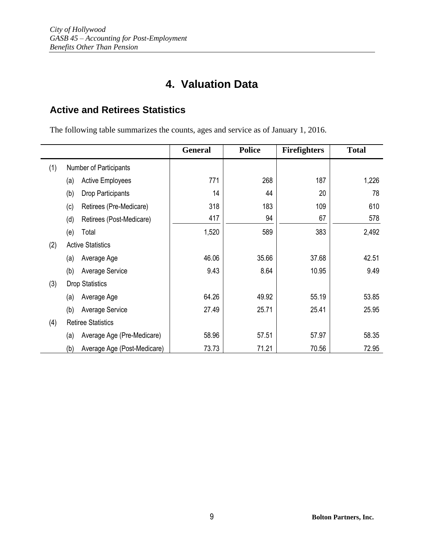# **4. Valuation Data**

## **Active and Retirees Statistics**

The following table summarizes the counts, ages and service as of January 1, 2016.

|     |                                    | <b>General</b> | <b>Police</b> | <b>Firefighters</b> | <b>Total</b> |
|-----|------------------------------------|----------------|---------------|---------------------|--------------|
| (1) | Number of Participants             |                |               |                     |              |
|     | <b>Active Employees</b><br>(a)     | 771            | 268           | 187                 | 1,226        |
|     | (b)<br>Drop Participants           | 14             | 44            | 20                  | 78           |
|     | (c)<br>Retirees (Pre-Medicare)     | 318            | 183           | 109                 | 610          |
|     | (d)<br>Retirees (Post-Medicare)    | 417            | 94            | 67                  | 578          |
|     | (e)<br>Total                       | 1,520          | 589           | 383                 | 2,492        |
| (2) | <b>Active Statistics</b>           |                |               |                     |              |
|     | Average Age<br>(a)                 | 46.06          | 35.66         | 37.68               | 42.51        |
|     | (b)<br><b>Average Service</b>      | 9.43           | 8.64          | 10.95               | 9.49         |
| (3) | <b>Drop Statistics</b>             |                |               |                     |              |
|     | Average Age<br>(a)                 | 64.26          | 49.92         | 55.19               | 53.85        |
|     | (b)<br>Average Service             | 27.49          | 25.71         | 25.41               | 25.95        |
| (4) | <b>Retiree Statistics</b>          |                |               |                     |              |
|     | Average Age (Pre-Medicare)<br>(a)  | 58.96          | 57.51         | 57.97               | 58.35        |
|     | (b)<br>Average Age (Post-Medicare) | 73.73          | 71.21         | 70.56               | 72.95        |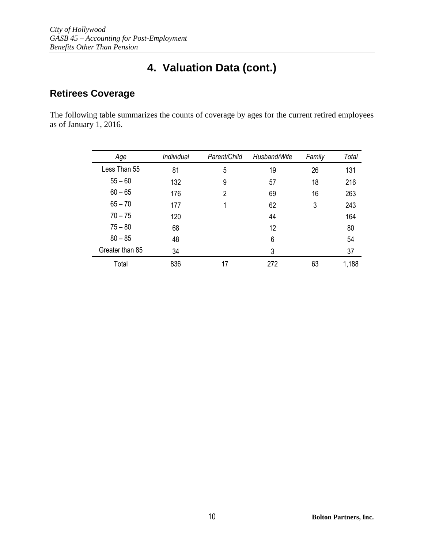# **4. Valuation Data (cont.)**

## **Retirees Coverage**

The following table summarizes the counts of coverage by ages for the current retired employees as of January 1, 2016.

| Age             | Individual | Parent/Child   | Husband/Wife | Family | Total |
|-----------------|------------|----------------|--------------|--------|-------|
| Less Than 55    | 81         | 5              | 19           | 26     | 131   |
| $55 - 60$       | 132        | 9              | 57           | 18     | 216   |
| $60 - 65$       | 176        | $\overline{2}$ | 69           | 16     | 263   |
| $65 - 70$       | 177        | 1              | 62           | 3      | 243   |
| $70 - 75$       | 120        |                | 44           |        | 164   |
| $75 - 80$       | 68         |                | 12           |        | 80    |
| $80 - 85$       | 48         |                | 6            |        | 54    |
| Greater than 85 | 34         |                | 3            |        | 37    |
| Total           | 836        | 17             | 272          | 63     | 1,188 |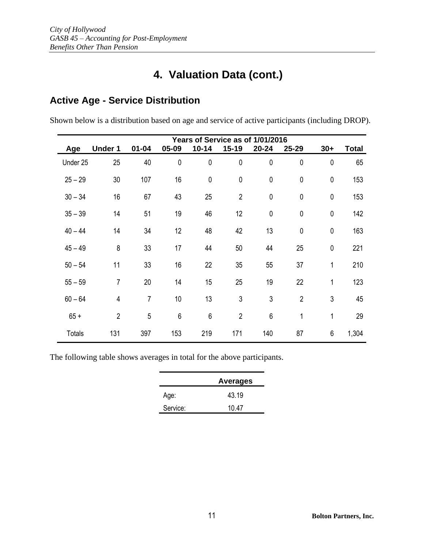# **4. Valuation Data (cont.)**

## **Active Age - Service Distribution**

Shown below is a distribution based on age and service of active participants (including DROP).

|               | Years of Service as of 1/01/2016 |                |                 |             |                |             |                |             |              |
|---------------|----------------------------------|----------------|-----------------|-------------|----------------|-------------|----------------|-------------|--------------|
| Age           | <b>Under 1</b>                   | $01 - 04$      | 05-09           | $10 - 14$   | $15 - 19$      | 20-24       | 25-29          | $30+$       | <b>Total</b> |
| Under 25      | 25                               | 40             | $\mathbf 0$     | $\pmb{0}$   | $\pmb{0}$      | $\pmb{0}$   | $\mathbf 0$    | $\pmb{0}$   | 65           |
| $25 - 29$     | 30                               | 107            | 16              | $\mathbf 0$ | $\pmb{0}$      | $\mathbf 0$ | 0              | $\mathbf 0$ | 153          |
| $30 - 34$     | 16                               | 67             | 43              | 25          | $\overline{2}$ | $\pmb{0}$   | 0              | $\mathbf 0$ | 153          |
| $35 - 39$     | 14                               | 51             | 19              | 46          | 12             | $\pmb{0}$   | $\pmb{0}$      | $\mathbf 0$ | 142          |
| $40 - 44$     | 14                               | 34             | 12              | 48          | 42             | 13          | $\pmb{0}$      | $\mathbf 0$ | 163          |
| $45 - 49$     | 8                                | 33             | 17              | 44          | 50             | 44          | 25             | $\pmb{0}$   | 221          |
| $50 - 54$     | 11                               | 33             | 16              | 22          | 35             | 55          | 37             | 1           | 210          |
| $55 - 59$     | $\overline{7}$                   | 20             | 14              | 15          | 25             | 19          | 22             | 1           | 123          |
| $60 - 64$     | $\overline{4}$                   | $\overline{7}$ | 10 <sup>°</sup> | 13          | 3              | 3           | $\overline{2}$ | 3           | 45           |
| $65 +$        | $\overline{2}$                   | 5              | 6               | 6           | $\overline{2}$ | $6\,$       | 1              | 1           | 29           |
| <b>Totals</b> | 131                              | 397            | 153             | 219         | 171            | 140         | 87             | 6           | 1,304        |

The following table shows averages in total for the above participants.

|          | <b>Averages</b> |
|----------|-----------------|
| Age:     | 43.19           |
| Service: | 10.47           |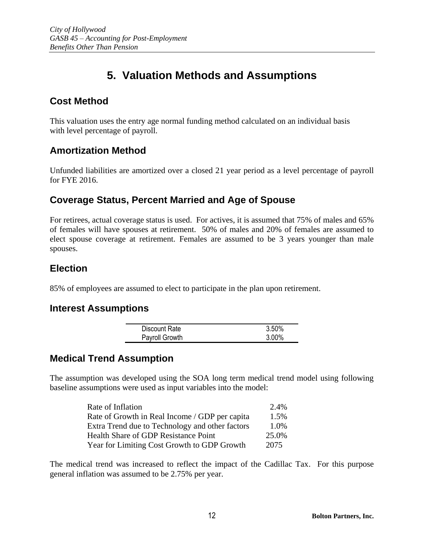# **5. Valuation Methods and Assumptions**

### **Cost Method**

This valuation uses the entry age normal funding method calculated on an individual basis with level percentage of payroll.

### **Amortization Method**

Unfunded liabilities are amortized over a closed 21 year period as a level percentage of payroll for FYE 2016.

### **Coverage Status, Percent Married and Age of Spouse**

For retirees, actual coverage status is used. For actives, it is assumed that 75% of males and 65% of females will have spouses at retirement. 50% of males and 20% of females are assumed to elect spouse coverage at retirement. Females are assumed to be 3 years younger than male spouses.

## **Election**

85% of employees are assumed to elect to participate in the plan upon retirement.

### **Interest Assumptions**

| Discount Rate  | 3.50%    |
|----------------|----------|
| Payroll Growth | $3.00\%$ |

### **Medical Trend Assumption**

The assumption was developed using the SOA long term medical trend model using following baseline assumptions were used as input variables into the model:

| Rate of Inflation                               | 2.4%  |
|-------------------------------------------------|-------|
| Rate of Growth in Real Income / GDP per capita  | 1.5%  |
| Extra Trend due to Technology and other factors | 1.0%  |
| <b>Health Share of GDP Resistance Point</b>     | 25.0% |
| Year for Limiting Cost Growth to GDP Growth     | 2075  |

The medical trend was increased to reflect the impact of the Cadillac Tax. For this purpose general inflation was assumed to be 2.75% per year.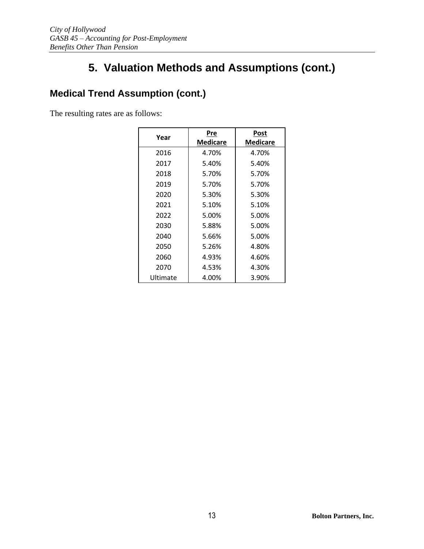# **Medical Trend Assumption (cont.)**

The resulting rates are as follows:

| Year     | Pre      | Post     |
|----------|----------|----------|
|          | Medicare | Medicare |
| 2016     | 4.70%    | 4.70%    |
| 2017     | 5.40%    | 5.40%    |
| 2018     | 5.70%    | 5.70%    |
| 2019     | 5.70%    | 5.70%    |
| 2020     | 5.30%    | 5.30%    |
| 2021     | 5.10%    | 5.10%    |
| 2022     | 5.00%    | 5.00%    |
| 2030     | 5.88%    | 5.00%    |
| 2040     | 5.66%    | 5.00%    |
| 2050     | 5.26%    | 4.80%    |
| 2060     | 4.93%    | 4.60%    |
| 2070     | 4.53%    | 4.30%    |
| Ultimate | 4.00%    | 3.90%    |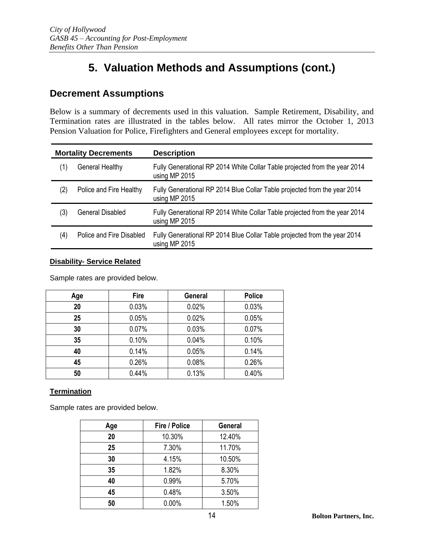### **Decrement Assumptions**

Below is a summary of decrements used in this valuation. Sample Retirement, Disability, and Termination rates are illustrated in the tables below. All rates mirror the October 1, 2013 Pension Valuation for Police, Firefighters and General employees except for mortality.

| <b>Mortality Decrements</b> |                          | <b>Description</b>                                                                          |
|-----------------------------|--------------------------|---------------------------------------------------------------------------------------------|
| (1)                         | General Healthy          | Fully Generational RP 2014 White Collar Table projected from the year 2014<br>using MP 2015 |
| (2)                         | Police and Fire Healthy  | Fully Generational RP 2014 Blue Collar Table projected from the year 2014<br>using MP 2015  |
| (3)                         | <b>General Disabled</b>  | Fully Generational RP 2014 White Collar Table projected from the year 2014<br>using MP 2015 |
| (4)                         | Police and Fire Disabled | Fully Generational RP 2014 Blue Collar Table projected from the year 2014<br>using MP 2015  |

#### **Disability- Service Related**

Sample rates are provided below.

| Age | <b>Fire</b> | General | <b>Police</b> |
|-----|-------------|---------|---------------|
| 20  | 0.03%       | 0.02%   | 0.03%         |
| 25  | 0.05%       | 0.02%   | 0.05%         |
| 30  | 0.07%       | 0.03%   | 0.07%         |
| 35  | 0.10%       | 0.04%   | 0.10%         |
| 40  | 0.14%       | 0.05%   | 0.14%         |
| 45  | 0.26%       | 0.08%   | 0.26%         |
| 50  | 0.44%       | 0.13%   | 0.40%         |

#### **Termination**

Sample rates are provided below.

| Age | <b>Fire / Police</b> | General |
|-----|----------------------|---------|
| 20  | 10.30%               | 12.40%  |
| 25  | 7.30%                | 11.70%  |
| 30  | 4.15%                | 10.50%  |
| 35  | 1.82%                | 8.30%   |
| 40  | 0.99%                | 5.70%   |
| 45  | 0.48%                | 3.50%   |
| 50  | 0.00%                | 1.50%   |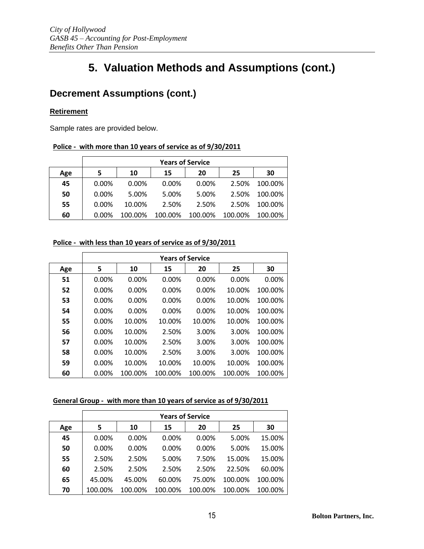## **Decrement Assumptions (cont.)**

#### **Retirement**

Sample rates are provided below.

#### **Police - with more than 10 years of service as of 9/30/2011**

|     | <b>Years of Service</b> |          |          |          |         |         |
|-----|-------------------------|----------|----------|----------|---------|---------|
| Age |                         | 10       | 15       | 20       | 25      | 30      |
| 45  | 0.00%                   | $0.00\%$ | $0.00\%$ | $0.00\%$ | 2.50%   | 100.00% |
| 50  | 0.00%                   | 5.00%    | 5.00%    | 5.00%    | 2.50%   | 100.00% |
| 55  | 0.00%                   | 10.00%   | 2.50%    | 2.50%    | 2.50%   | 100.00% |
| 60  | 0.00%                   | 100.00%  | 100.00%  | 100.00%  | 100.00% | 100.00% |

#### **Police - with less than 10 years of service as of 9/30/2011**

|     | <b>Years of Service</b> |         |          |         |         |         |
|-----|-------------------------|---------|----------|---------|---------|---------|
| Age | 5                       | 10      | 15       | 20      | 25      | 30      |
| 51  | 0.00%                   | 0.00%   | 0.00%    | 0.00%   | 0.00%   | 0.00%   |
| 52  | $0.00\%$                | 0.00%   | 0.00%    | 0.00%   | 10.00%  | 100.00% |
| 53  | 0.00%                   | 0.00%   | 0.00%    | 0.00%   | 10.00%  | 100.00% |
| 54  | 0.00%                   | 0.00%   | $0.00\%$ | 0.00%   | 10.00%  | 100.00% |
| 55  | 0.00%                   | 10.00%  | 10.00%   | 10.00%  | 10.00%  | 100.00% |
| 56  | $0.00\%$                | 10.00%  | 2.50%    | 3.00%   | 3.00%   | 100.00% |
| 57  | $0.00\%$                | 10.00%  | 2.50%    | 3.00%   | 3.00%   | 100.00% |
| 58  | $0.00\%$                | 10.00%  | 2.50%    | 3.00%   | 3.00%   | 100.00% |
| 59  | 0.00%                   | 10.00%  | 10.00%   | 10.00%  | 10.00%  | 100.00% |
| 60  | $0.00\%$                | 100.00% | 100.00%  | 100.00% | 100.00% | 100.00% |

#### **General Group - with more than 10 years of service as of 9/30/2011**

|     | <b>Years of Service</b> |          |          |          |         |         |
|-----|-------------------------|----------|----------|----------|---------|---------|
| Age | 5                       | 10       | 15       | 20       | 25      | 30      |
| 45  | $0.00\%$                | $0.00\%$ | $0.00\%$ | $0.00\%$ | 5.00%   | 15.00%  |
| 50  | $0.00\%$                | $0.00\%$ | $0.00\%$ | $0.00\%$ | 5.00%   | 15.00%  |
| 55  | 2.50%                   | 2.50%    | 5.00%    | 7.50%    | 15.00%  | 15.00%  |
| 60  | 2.50%                   | 2.50%    | 2.50%    | 2.50%    | 22.50%  | 60.00%  |
| 65  | 45.00%                  | 45.00%   | 60.00%   | 75.00%   | 100.00% | 100.00% |
| 70  | 100.00%                 | 100.00%  | 100.00%  | 100.00%  | 100.00% | 100.00% |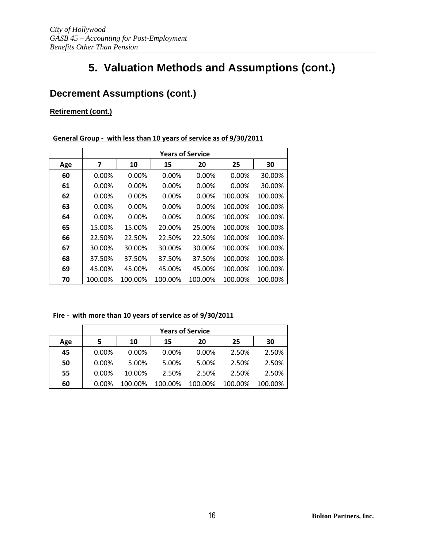## **Decrement Assumptions (cont.)**

### **Retirement (cont.)**

#### **General Group - with less than 10 years of service as of 9/30/2011**

|     | <b>Years of Service</b> |          |          |          |          |         |
|-----|-------------------------|----------|----------|----------|----------|---------|
| Age | 7                       | 10       | 15       | 20       | 25       | 30      |
| 60  | $0.00\%$                | $0.00\%$ | 0.00%    | $0.00\%$ | $0.00\%$ | 30.00%  |
| 61  | $0.00\%$                | $0.00\%$ | 0.00%    | $0.00\%$ | $0.00\%$ | 30.00%  |
| 62  | $0.00\%$                | $0.00\%$ | $0.00\%$ | $0.00\%$ | 100.00%  | 100.00% |
| 63  | $0.00\%$                | $0.00\%$ | $0.00\%$ | $0.00\%$ | 100.00%  | 100.00% |
| 64  | $0.00\%$                | 0.00%    | $0.00\%$ | $0.00\%$ | 100.00%  | 100.00% |
| 65  | 15.00%                  | 15.00%   | 20.00%   | 25.00%   | 100.00%  | 100.00% |
| 66  | 22.50%                  | 22.50%   | 22.50%   | 22.50%   | 100.00%  | 100.00% |
| 67  | 30.00%                  | 30.00%   | 30.00%   | 30.00%   | 100.00%  | 100.00% |
| 68  | 37.50%                  | 37.50%   | 37.50%   | 37.50%   | 100.00%  | 100.00% |
| 69  | 45.00%                  | 45.00%   | 45.00%   | 45.00%   | 100.00%  | 100.00% |
| 70  | 100.00%                 | 100.00%  | 100.00%  | 100.00%  | 100.00%  | 100.00% |

#### **Fire - with more than 10 years of service as of 9/30/2011**

|     |       | <b>Years of Service</b> |         |          |         |         |
|-----|-------|-------------------------|---------|----------|---------|---------|
| Age | 5     | 10                      | 15      | 20       | 25      | 30      |
| 45  | 0.00% | $0.00\%$                | 0.00%   | $0.00\%$ | 2.50%   | 2.50%   |
| 50  | 0.00% | 5.00%                   | 5.00%   | 5.00%    | 2.50%   | 2.50%   |
| 55  | 0.00% | 10.00%                  | 2.50%   | 2.50%    | 2.50%   | 2.50%   |
| 60  | 0.00% | 100.00%                 | 100.00% | 100.00%  | 100.00% | 100.00% |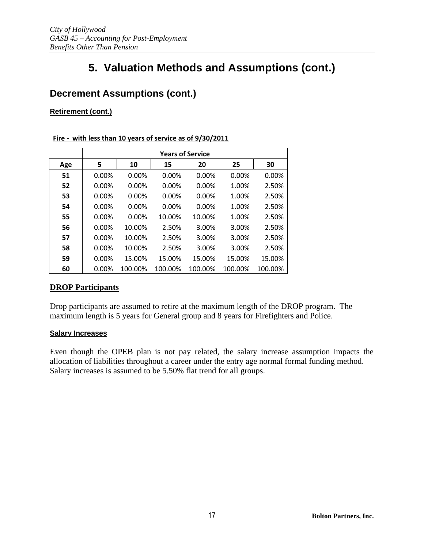## **Decrement Assumptions (cont.)**

#### **Retirement (cont.)**

#### **Fire - with less than 10 years of service as of 9/30/2011**

|     | <b>Years of Service</b> |         |         |          |         |         |
|-----|-------------------------|---------|---------|----------|---------|---------|
| Age | 5                       | 10      | 15      | 20       | 25      | 30      |
| 51  | 0.00%                   | 0.00%   | 0.00%   | 0.00%    | 0.00%   | 0.00%   |
| 52  | 0.00%                   | 0.00%   | 0.00%   | 0.00%    | 1.00%   | 2.50%   |
| 53  | 0.00%                   | 0.00%   | 0.00%   | $0.00\%$ | 1.00%   | 2.50%   |
| 54  | 0.00%                   | 0.00%   | 0.00%   | $0.00\%$ | 1.00%   | 2.50%   |
| 55  | 0.00%                   | 0.00%   | 10.00%  | 10.00%   | 1.00%   | 2.50%   |
| 56  | 0.00%                   | 10.00%  | 2.50%   | 3.00%    | 3.00%   | 2.50%   |
| 57  | 0.00%                   | 10.00%  | 2.50%   | 3.00%    | 3.00%   | 2.50%   |
| 58  | 0.00%                   | 10.00%  | 2.50%   | 3.00%    | 3.00%   | 2.50%   |
| 59  | 0.00%                   | 15.00%  | 15.00%  | 15.00%   | 15.00%  | 15.00%  |
| 60  | $0.00\%$                | 100.00% | 100.00% | 100.00%  | 100.00% | 100.00% |

### **DROP Participants**

Drop participants are assumed to retire at the maximum length of the DROP program. The maximum length is 5 years for General group and 8 years for Firefighters and Police.

#### **Salary Increases**

Even though the OPEB plan is not pay related, the salary increase assumption impacts the allocation of liabilities throughout a career under the entry age normal formal funding method. Salary increases is assumed to be 5.50% flat trend for all groups.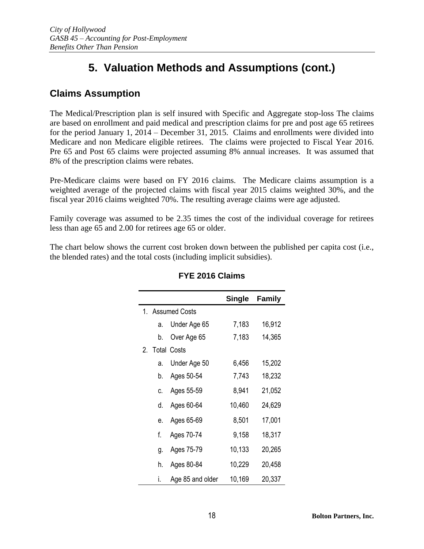## **Claims Assumption**

The Medical/Prescription plan is self insured with Specific and Aggregate stop-loss The claims are based on enrollment and paid medical and prescription claims for pre and post age 65 retirees for the period January 1, 2014 – December 31, 2015. Claims and enrollments were divided into Medicare and non Medicare eligible retirees. The claims were projected to Fiscal Year 2016. Pre 65 and Post 65 claims were projected assuming 8% annual increases. It was assumed that 8% of the prescription claims were rebates.

Pre-Medicare claims were based on FY 2016 claims. The Medicare claims assumption is a weighted average of the projected claims with fiscal year 2015 claims weighted 30%, and the fiscal year 2016 claims weighted 70%. The resulting average claims were age adjusted.

Family coverage was assumed to be 2.35 times the cost of the individual coverage for retirees less than age 65 and 2.00 for retirees age 65 or older.

The chart below shows the current cost broken down between the published per capita cost (i.e., the blended rates) and the total costs (including implicit subsidies).

|                |                  | Single | <b>Family</b> |
|----------------|------------------|--------|---------------|
|                | 1. Assumed Costs |        |               |
| a.             | Under Age 65     | 7,183  | 16,912        |
| b.             | Over Age 65      | 7,183  | 14,365        |
| 2. Total Costs |                  |        |               |
| a.             | Under Age 50     | 6,456  | 15,202        |
| b.             | Ages 50-54       | 7,743  | 18,232        |
| C.             | Ages 55-59       | 8,941  | 21,052        |
| d.             | Ages 60-64       | 10,460 | 24,629        |
| e.             | Ages 65-69       | 8,501  | 17,001        |
| f.             | Ages 70-74       | 9,158  | 18,317        |
| g.             | Ages 75-79       | 10,133 | 20,265        |
| h.             | Ages 80-84       | 10,229 | 20,458        |
| i.             | Age 85 and older | 10,169 | 20,337        |

### **FYE 2016 Claims**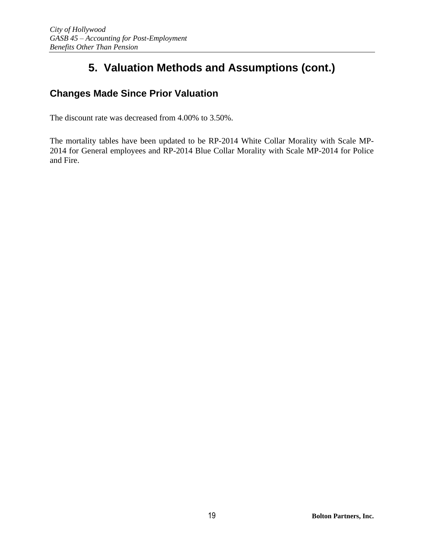## **Changes Made Since Prior Valuation**

The discount rate was decreased from 4.00% to 3.50%.

The mortality tables have been updated to be RP-2014 White Collar Morality with Scale MP-2014 for General employees and RP-2014 Blue Collar Morality with Scale MP-2014 for Police and Fire.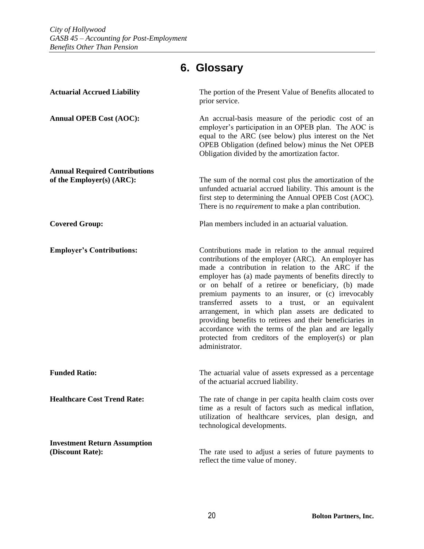# **6. Glossary**

| <b>Actuarial Accrued Liability</b>                                | The portion of the Present Value of Benefits allocated to<br>prior service.                                                                                                                                                                                                                                                                                                                                                                                                                                                                                                                                                                      |
|-------------------------------------------------------------------|--------------------------------------------------------------------------------------------------------------------------------------------------------------------------------------------------------------------------------------------------------------------------------------------------------------------------------------------------------------------------------------------------------------------------------------------------------------------------------------------------------------------------------------------------------------------------------------------------------------------------------------------------|
| <b>Annual OPEB Cost (AOC):</b>                                    | An accrual-basis measure of the periodic cost of an<br>employer's participation in an OPEB plan. The AOC is<br>equal to the ARC (see below) plus interest on the Net<br>OPEB Obligation (defined below) minus the Net OPEB<br>Obligation divided by the amortization factor.                                                                                                                                                                                                                                                                                                                                                                     |
| <b>Annual Required Contributions</b><br>of the Employer(s) (ARC): | The sum of the normal cost plus the amortization of the<br>unfunded actuarial accrued liability. This amount is the<br>first step to determining the Annual OPEB Cost (AOC).<br>There is no <i>requirement</i> to make a plan contribution.                                                                                                                                                                                                                                                                                                                                                                                                      |
| <b>Covered Group:</b>                                             | Plan members included in an actuarial valuation.                                                                                                                                                                                                                                                                                                                                                                                                                                                                                                                                                                                                 |
| <b>Employer's Contributions:</b>                                  | Contributions made in relation to the annual required<br>contributions of the employer (ARC). An employer has<br>made a contribution in relation to the ARC if the<br>employer has (a) made payments of benefits directly to<br>or on behalf of a retiree or beneficiary, (b) made<br>premium payments to an insurer, or (c) irrevocably<br>transferred assets to a trust, or an equivalent<br>arrangement, in which plan assets are dedicated to<br>providing benefits to retirees and their beneficiaries in<br>accordance with the terms of the plan and are legally<br>protected from creditors of the employer(s) or plan<br>administrator. |
| <b>Funded Ratio:</b>                                              | The actuarial value of assets expressed as a percentage<br>of the actuarial accrued liability.                                                                                                                                                                                                                                                                                                                                                                                                                                                                                                                                                   |
| <b>Healthcare Cost Trend Rate:</b>                                | The rate of change in per capita health claim costs over<br>time as a result of factors such as medical inflation,<br>utilization of healthcare services, plan design, and<br>technological developments.                                                                                                                                                                                                                                                                                                                                                                                                                                        |
| <b>Investment Return Assumption</b><br>(Discount Rate):           | The rate used to adjust a series of future payments to<br>reflect the time value of money.                                                                                                                                                                                                                                                                                                                                                                                                                                                                                                                                                       |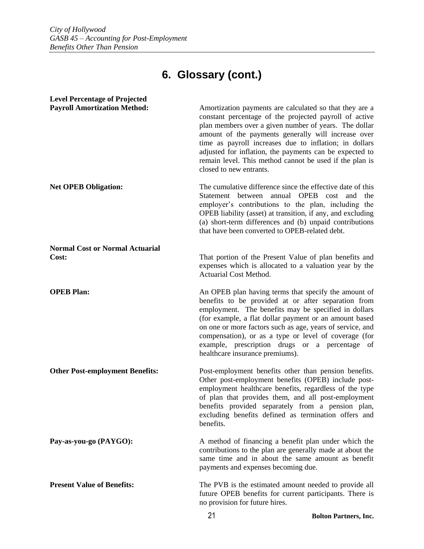# **6. Glossary (cont.)**

| <b>Level Percentage of Projected</b>            |                                                                                                                                                                                                                                                                                                                                                                                                                                              |
|-------------------------------------------------|----------------------------------------------------------------------------------------------------------------------------------------------------------------------------------------------------------------------------------------------------------------------------------------------------------------------------------------------------------------------------------------------------------------------------------------------|
| <b>Payroll Amortization Method:</b>             | Amortization payments are calculated so that they are a<br>constant percentage of the projected payroll of active<br>plan members over a given number of years. The dollar<br>amount of the payments generally will increase over<br>time as payroll increases due to inflation; in dollars<br>adjusted for inflation, the payments can be expected to<br>remain level. This method cannot be used if the plan is<br>closed to new entrants. |
| <b>Net OPEB Obligation:</b>                     | The cumulative difference since the effective date of this<br>Statement between annual OPEB cost and<br>the<br>employer's contributions to the plan, including the<br>OPEB liability (asset) at transition, if any, and excluding<br>(a) short-term differences and (b) unpaid contributions<br>that have been converted to OPEB-related debt.                                                                                               |
| <b>Normal Cost or Normal Actuarial</b><br>Cost: | That portion of the Present Value of plan benefits and<br>expenses which is allocated to a valuation year by the<br>Actuarial Cost Method.                                                                                                                                                                                                                                                                                                   |
| <b>OPEB Plan:</b>                               | An OPEB plan having terms that specify the amount of<br>benefits to be provided at or after separation from<br>employment. The benefits may be specified in dollars<br>(for example, a flat dollar payment or an amount based<br>on one or more factors such as age, years of service, and<br>compensation), or as a type or level of coverage (for<br>example, prescription drugs or a percentage of<br>healthcare insurance premiums).     |
| <b>Other Post-employment Benefits:</b>          | Post-employment benefits other than pension benefits.<br>Other post-employment benefits (OPEB) include post-<br>employment healthcare benefits, regardless of the type<br>of plan that provides them, and all post-employment<br>benefits provided separately from a pension plan,<br>excluding benefits defined as termination offers and<br>benefits.                                                                                      |
| Pay-as-you-go (PAYGO):                          | A method of financing a benefit plan under which the<br>contributions to the plan are generally made at about the<br>same time and in about the same amount as benefit<br>payments and expenses becoming due.                                                                                                                                                                                                                                |
| <b>Present Value of Benefits:</b>               | The PVB is the estimated amount needed to provide all<br>future OPEB benefits for current participants. There is<br>no provision for future hires.                                                                                                                                                                                                                                                                                           |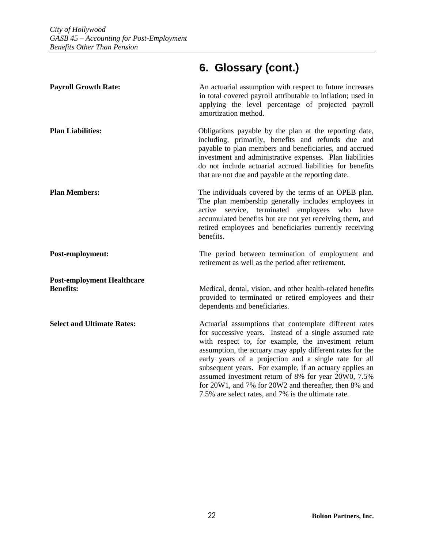### **Payroll Growth Rate:** An actuarial assumption with respect to future increases in total covered payroll attributable to inflation; used in applying the level percentage of projected payroll amortization method. **Plan Liabilities:** Obligations payable by the plan at the reporting date, including, primarily, benefits and refunds due and payable to plan members and beneficiaries, and accrued investment and administrative expenses. Plan liabilities do not include actuarial accrued liabilities for benefits that are not due and payable at the reporting date. **Plan Members:** The individuals covered by the terms of an OPEB plan. The plan membership generally includes employees in active service, terminated employees who have accumulated benefits but are not yet receiving them, and retired employees and beneficiaries currently receiving benefits. **Post-employment:** The period between termination of employment and retirement as well as the period after retirement. **Post-employment Healthcare Benefits:** Medical, dental, vision, and other health-related benefits provided to terminated or retired employees and their dependents and beneficiaries. **Select and Ultimate Rates:** Actuarial assumptions that contemplate different rates for successive years. Instead of a single assumed rate with respect to, for example, the investment return assumption, the actuary may apply different rates for the early years of a projection and a single rate for all subsequent years. For example, if an actuary applies an assumed investment return of 8% for year 20W0, 7.5% for 20W1, and 7% for 20W2 and thereafter, then 8% and 7.5% are select rates, and 7% is the ultimate rate.

## **6. Glossary (cont.)**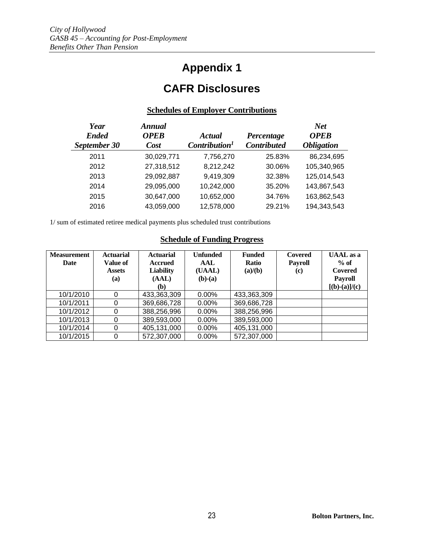# **Appendix 1**

# **CAFR Disclosures**

#### **Schedules of Employer Contributions**

| Year<br><b>Ended</b><br>September 30 | <b>Annual</b><br><b>OPEB</b><br>Cost | Actual<br>Contribution <sup>1</sup> | Percentage<br><b>Contributed</b> | <b>Net</b><br><b>OPEB</b><br><b>Obligation</b> |
|--------------------------------------|--------------------------------------|-------------------------------------|----------------------------------|------------------------------------------------|
| 2011                                 | 30,029,771                           | 7,756,270                           | 25.83%                           | 86,234,695                                     |
| 2012                                 | 27,318,512                           | 8,212,242                           | 30.06%                           | 105,340,965                                    |
| 2013                                 | 29,092,887                           | 9,419,309                           | 32.38%                           | 125,014,543                                    |
| 2014                                 | 29,095,000                           | 10,242,000                          | 35.20%                           | 143,867,543                                    |
| 2015                                 | 30,647,000                           | 10,652,000                          | 34.76%                           | 163,862,543                                    |
| 2016                                 | 43,059,000                           | 12,578,000                          | 29.21%                           | 194,343,543                                    |

1/ sum of estimated retiree medical payments plus scheduled trust contributions

### **Schedule of Funding Progress**

| <b>Measurement</b><br>Date | <b>Actuarial</b><br><b>Value of</b><br><b>Assets</b><br>(a) | <b>Actuarial</b><br><b>Accrued</b><br><b>Liability</b><br>(AAL)<br>(b) | <b>Unfunded</b><br>AAL<br>(UAAL)<br>$(b)-(a)$ | <b>Funded</b><br><b>Ratio</b><br>(a)/(b) | <b>Covered</b><br><b>Payroll</b><br>(c) | <b>UAAL</b> as a<br>$%$ of<br><b>Covered</b><br><b>Payroll</b><br>$[(b)-(a)]/(c)$ |
|----------------------------|-------------------------------------------------------------|------------------------------------------------------------------------|-----------------------------------------------|------------------------------------------|-----------------------------------------|-----------------------------------------------------------------------------------|
| 10/1/2010                  | 0                                                           | 433,363,309                                                            | $0.00\%$                                      | 433,363,309                              |                                         |                                                                                   |
| 10/1/2011                  | 0                                                           | 369,686,728                                                            | $0.00\%$                                      | 369,686,728                              |                                         |                                                                                   |
| 10/1/2012                  | 0                                                           | 388,256,996                                                            | $0.00\%$                                      | 388,256,996                              |                                         |                                                                                   |
| 10/1/2013                  | 0                                                           | 389,593,000                                                            | $0.00\%$                                      | 389,593,000                              |                                         |                                                                                   |
| 10/1/2014                  | 0                                                           | 405,131,000                                                            | $0.00\%$                                      | 405,131,000                              |                                         |                                                                                   |
| 10/1/2015                  | 0                                                           | 572,307,000                                                            | $0.00\%$                                      | 572,307,000                              |                                         |                                                                                   |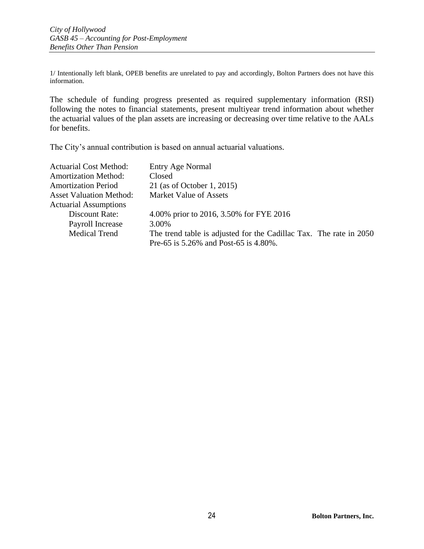1/ Intentionally left blank, OPEB benefits are unrelated to pay and accordingly, Bolton Partners does not have this information.

The schedule of funding progress presented as required supplementary information (RSI) following the notes to financial statements, present multiyear trend information about whether the actuarial values of the plan assets are increasing or decreasing over time relative to the AALs for benefits.

The City's annual contribution is based on annual actuarial valuations.

| <b>Actuarial Cost Method:</b>  | Entry Age Normal                                                   |  |
|--------------------------------|--------------------------------------------------------------------|--|
| <b>Amortization Method:</b>    | Closed                                                             |  |
| <b>Amortization Period</b>     | 21 (as of October 1, 2015)                                         |  |
| <b>Asset Valuation Method:</b> | <b>Market Value of Assets</b>                                      |  |
| <b>Actuarial Assumptions</b>   |                                                                    |  |
| Discount Rate:                 | 4.00% prior to 2016, 3.50% for FYE 2016                            |  |
| Payroll Increase               | 3.00%                                                              |  |
| <b>Medical Trend</b>           | The trend table is adjusted for the Cadillac Tax. The rate in 2050 |  |
|                                | Pre-65 is 5.26% and Post-65 is 4.80%.                              |  |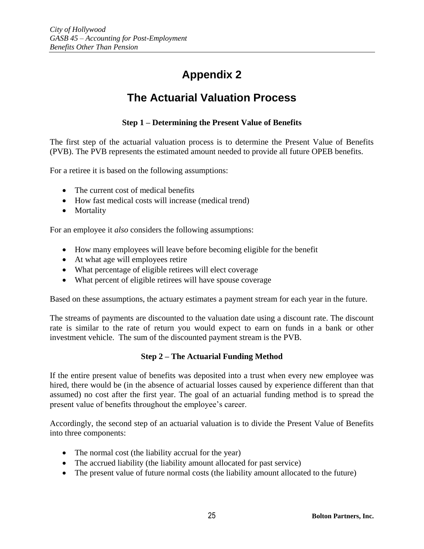# **Appendix 2**

# **The Actuarial Valuation Process**

### **Step 1 – Determining the Present Value of Benefits**

The first step of the actuarial valuation process is to determine the Present Value of Benefits (PVB). The PVB represents the estimated amount needed to provide all future OPEB benefits.

For a retiree it is based on the following assumptions:

- The current cost of medical benefits
- How fast medical costs will increase (medical trend)
- Mortality

For an employee it *also* considers the following assumptions:

- How many employees will leave before becoming eligible for the benefit
- At what age will employees retire
- What percentage of eligible retirees will elect coverage
- What percent of eligible retirees will have spouse coverage

Based on these assumptions, the actuary estimates a payment stream for each year in the future.

The streams of payments are discounted to the valuation date using a discount rate. The discount rate is similar to the rate of return you would expect to earn on funds in a bank or other investment vehicle. The sum of the discounted payment stream is the PVB.

#### **Step 2 – The Actuarial Funding Method**

If the entire present value of benefits was deposited into a trust when every new employee was hired, there would be (in the absence of actuarial losses caused by experience different than that assumed) no cost after the first year. The goal of an actuarial funding method is to spread the present value of benefits throughout the employee's career.

Accordingly, the second step of an actuarial valuation is to divide the Present Value of Benefits into three components:

- The normal cost (the liability accrual for the year)
- The accrued liability (the liability amount allocated for past service)
- The present value of future normal costs (the liability amount allocated to the future)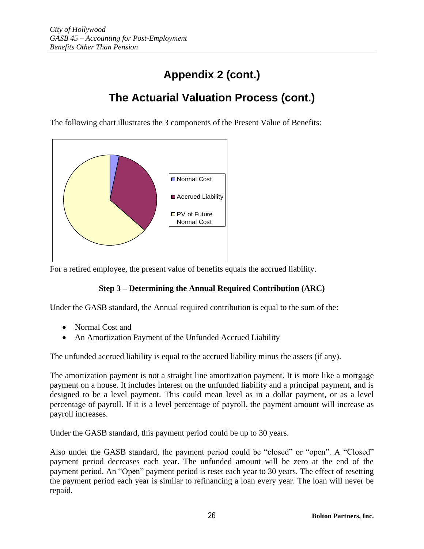# **Appendix 2 (cont.)**

# **The Actuarial Valuation Process (cont.)**

The following chart illustrates the 3 components of the Present Value of Benefits:



For a retired employee, the present value of benefits equals the accrued liability.

### **Step 3 – Determining the Annual Required Contribution (ARC)**

Under the GASB standard, the Annual required contribution is equal to the sum of the:

- Normal Cost and
- An Amortization Payment of the Unfunded Accrued Liability

The unfunded accrued liability is equal to the accrued liability minus the assets (if any).

The amortization payment is not a straight line amortization payment. It is more like a mortgage payment on a house. It includes interest on the unfunded liability and a principal payment, and is designed to be a level payment. This could mean level as in a dollar payment, or as a level percentage of payroll. If it is a level percentage of payroll, the payment amount will increase as payroll increases.

Under the GASB standard, this payment period could be up to 30 years.

Also under the GASB standard, the payment period could be "closed" or "open". A "Closed" payment period decreases each year. The unfunded amount will be zero at the end of the payment period. An "Open" payment period is reset each year to 30 years. The effect of resetting the payment period each year is similar to refinancing a loan every year. The loan will never be repaid.